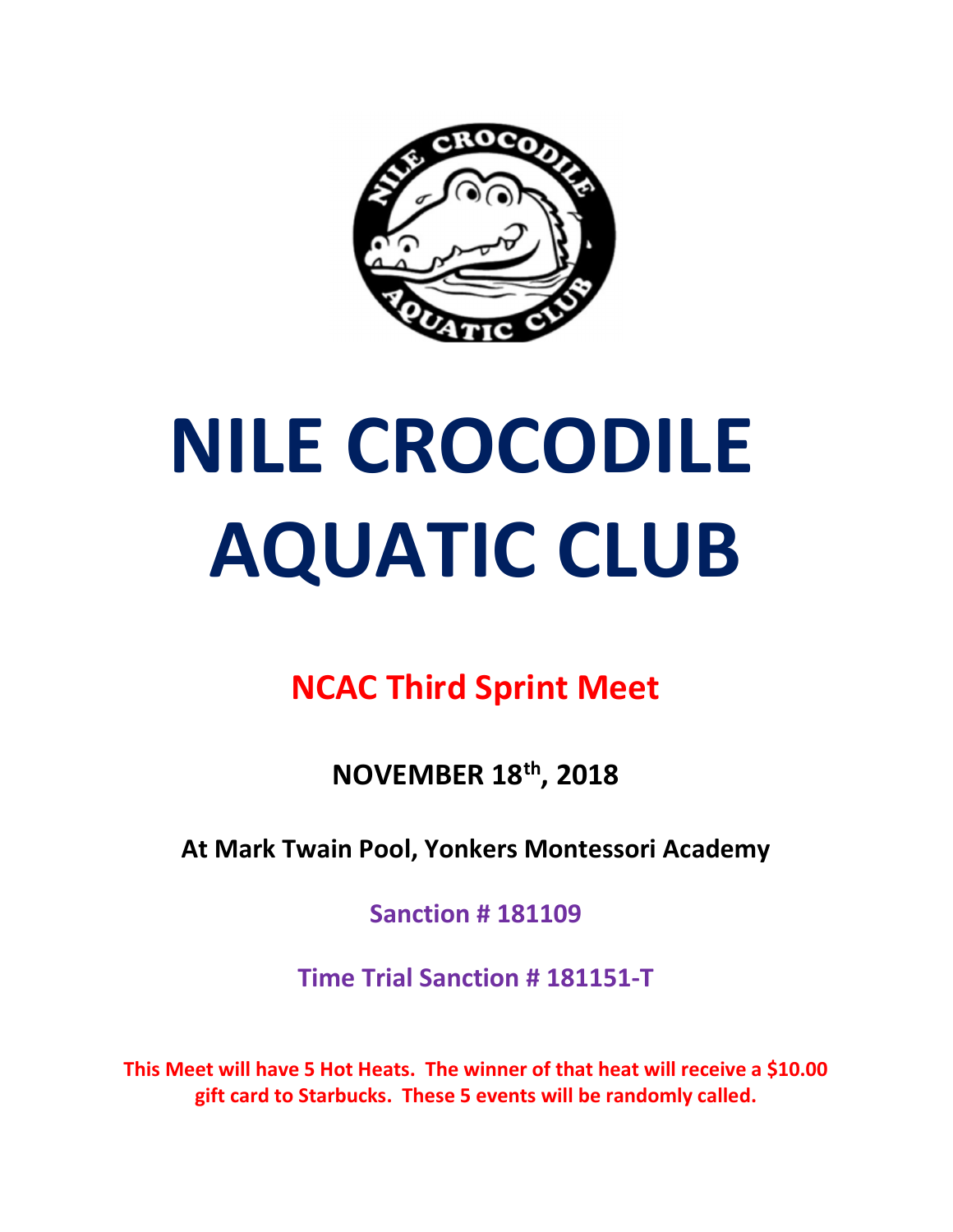

# NILE CROCODILE AQUATIC CLUB

## NCAC Third Sprint Meet

NOVEMBER 18th, 2018

At Mark Twain Pool, Yonkers Montessori Academy

Sanction # 181109

Time Trial Sanction # 181151-T

This Meet will have 5 Hot Heats. The winner of that heat will receive a \$10.00 gift card to Starbucks. These 5 events will be randomly called.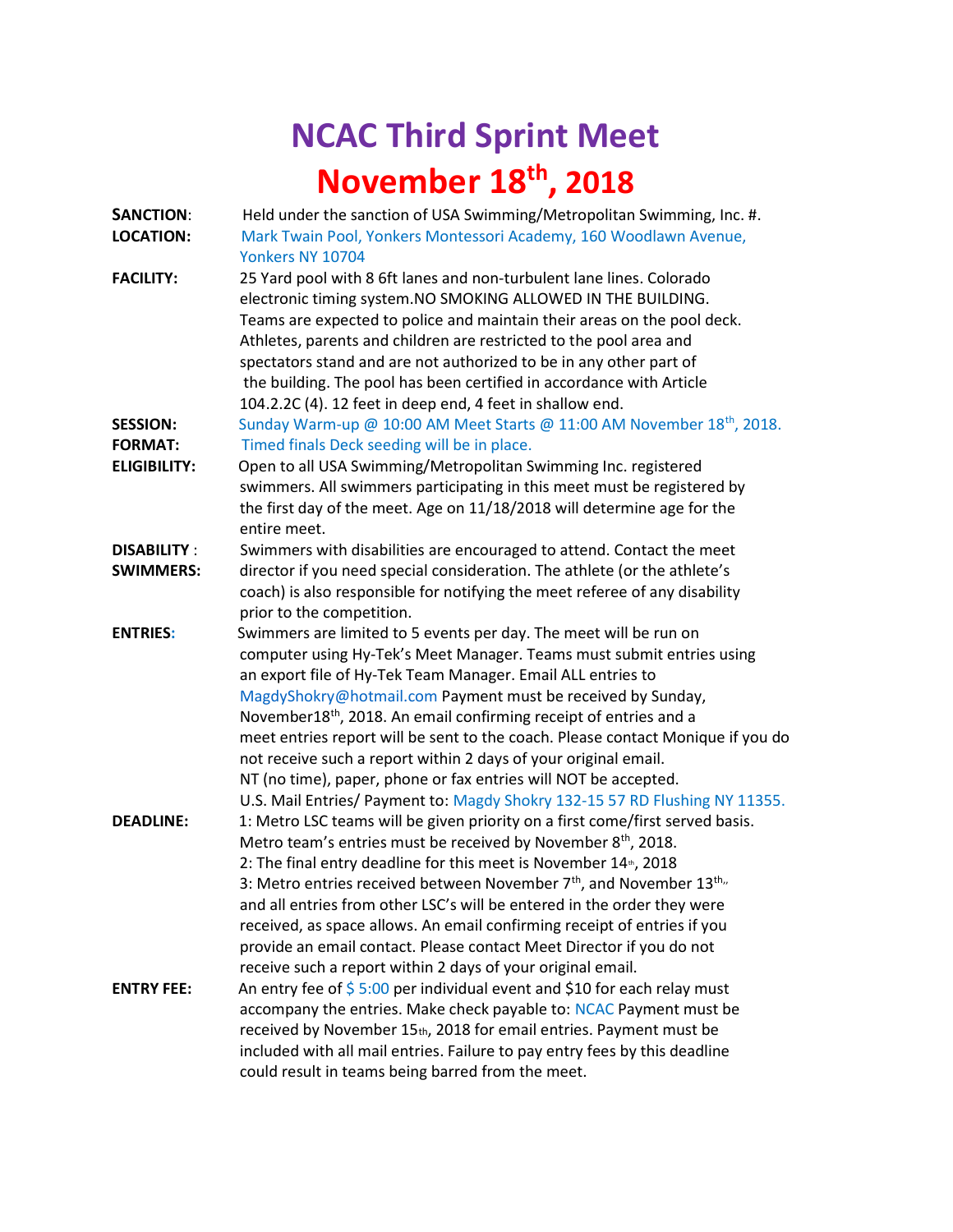# NCAC Third Sprint Meet November 18<sup>th</sup>, 2018

| <b>SANCTION:</b>    | Held under the sanction of USA Swimming/Metropolitan Swimming, Inc. #.             |  |  |
|---------------------|------------------------------------------------------------------------------------|--|--|
| <b>LOCATION:</b>    | Mark Twain Pool, Yonkers Montessori Academy, 160 Woodlawn Avenue,                  |  |  |
|                     | Yonkers NY 10704                                                                   |  |  |
| <b>FACILITY:</b>    | 25 Yard pool with 8 6ft lanes and non-turbulent lane lines. Colorado               |  |  |
|                     | electronic timing system. NO SMOKING ALLOWED IN THE BUILDING.                      |  |  |
|                     | Teams are expected to police and maintain their areas on the pool deck.            |  |  |
|                     | Athletes, parents and children are restricted to the pool area and                 |  |  |
|                     | spectators stand and are not authorized to be in any other part of                 |  |  |
|                     | the building. The pool has been certified in accordance with Article               |  |  |
|                     | 104.2.2C (4). 12 feet in deep end, 4 feet in shallow end.                          |  |  |
| <b>SESSION:</b>     | Sunday Warm-up @ 10:00 AM Meet Starts @ 11:00 AM November 18 <sup>th</sup> , 2018. |  |  |
| <b>FORMAT:</b>      | Timed finals Deck seeding will be in place.                                        |  |  |
| <b>ELIGIBILITY:</b> | Open to all USA Swimming/Metropolitan Swimming Inc. registered                     |  |  |
|                     | swimmers. All swimmers participating in this meet must be registered by            |  |  |
|                     | the first day of the meet. Age on 11/18/2018 will determine age for the            |  |  |
|                     | entire meet.                                                                       |  |  |
| <b>DISABILITY:</b>  | Swimmers with disabilities are encouraged to attend. Contact the meet              |  |  |
| <b>SWIMMERS:</b>    | director if you need special consideration. The athlete (or the athlete's          |  |  |
|                     | coach) is also responsible for notifying the meet referee of any disability        |  |  |
|                     | prior to the competition.                                                          |  |  |
| <b>ENTRIES:</b>     | Swimmers are limited to 5 events per day. The meet will be run on                  |  |  |
|                     | computer using Hy-Tek's Meet Manager. Teams must submit entries using              |  |  |
|                     | an export file of Hy-Tek Team Manager. Email ALL entries to                        |  |  |
|                     | MagdyShokry@hotmail.com Payment must be received by Sunday,                        |  |  |
|                     | November18 <sup>th</sup> , 2018. An email confirming receipt of entries and a      |  |  |
|                     | meet entries report will be sent to the coach. Please contact Monique if you do    |  |  |
|                     | not receive such a report within 2 days of your original email.                    |  |  |
|                     | NT (no time), paper, phone or fax entries will NOT be accepted.                    |  |  |
|                     | U.S. Mail Entries/ Payment to: Magdy Shokry 132-15 57 RD Flushing NY 11355.        |  |  |
| <b>DEADLINE:</b>    | 1: Metro LSC teams will be given priority on a first come/first served basis.      |  |  |
|                     | Metro team's entries must be received by November 8 <sup>th</sup> , 2018.          |  |  |
|                     | 2: The final entry deadline for this meet is November 14 <sup>th</sup> , 2018      |  |  |
|                     | 3: Metro entries received between November $7th$ , and November 13 <sup>th,,</sup> |  |  |
|                     | and all entries from other LSC's will be entered in the order they were            |  |  |
|                     | received, as space allows. An email confirming receipt of entries if you           |  |  |
|                     | provide an email contact. Please contact Meet Director if you do not               |  |  |
|                     | receive such a report within 2 days of your original email.                        |  |  |
| <b>ENTRY FEE:</b>   | An entry fee of $$5:00$ per individual event and \$10 for each relay must          |  |  |
|                     | accompany the entries. Make check payable to: NCAC Payment must be                 |  |  |
|                     | received by November 15th, 2018 for email entries. Payment must be                 |  |  |
|                     | included with all mail entries. Failure to pay entry fees by this deadline         |  |  |
|                     | could result in teams being barred from the meet.                                  |  |  |
|                     |                                                                                    |  |  |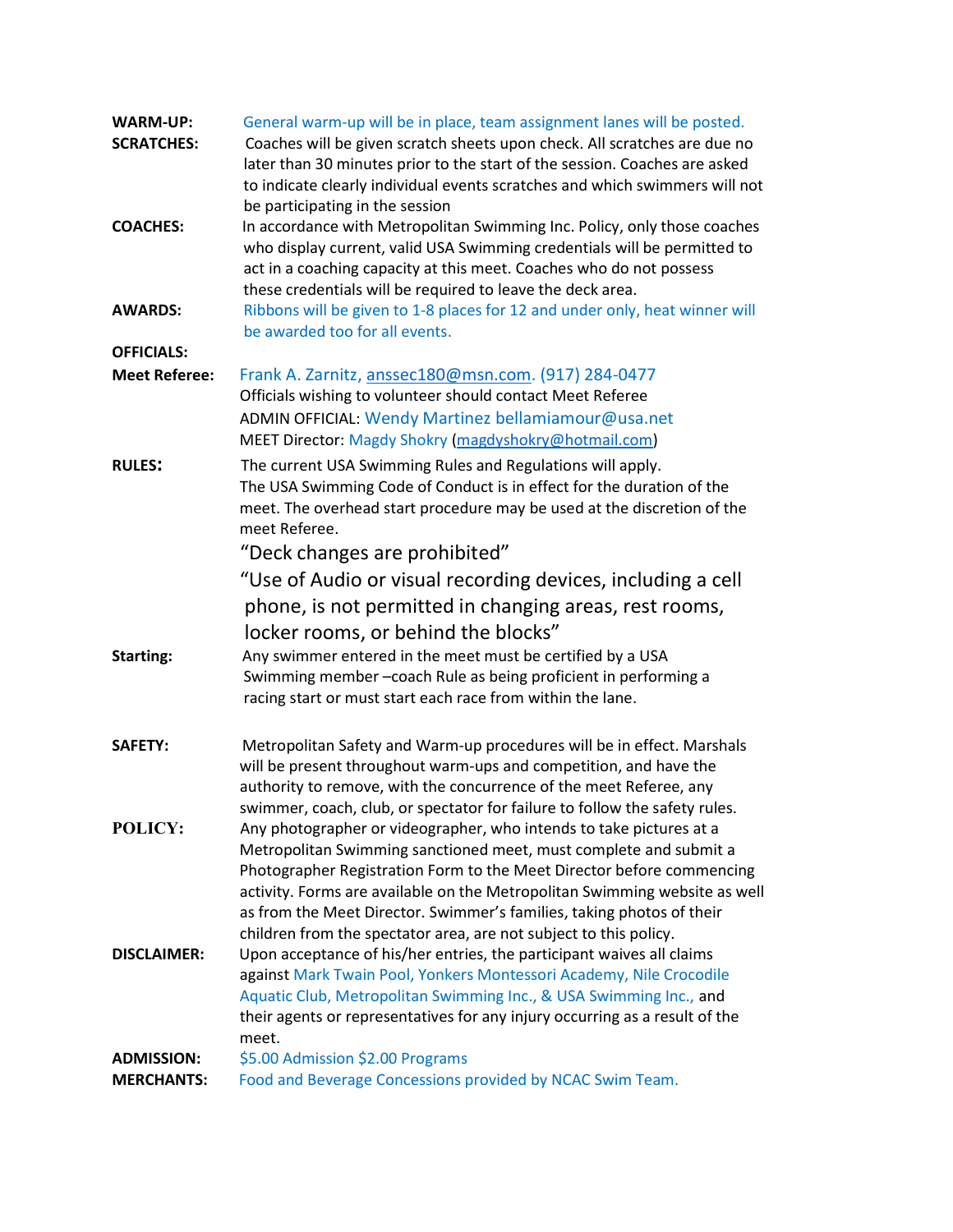| <b>WARM-UP:</b><br><b>SCRATCHES:</b> | General warm-up will be in place, team assignment lanes will be posted.<br>Coaches will be given scratch sheets upon check. All scratches are due no<br>later than 30 minutes prior to the start of the session. Coaches are asked<br>to indicate clearly individual events scratches and which swimmers will not<br>be participating in the session                                                                                                                                                                        |  |  |
|--------------------------------------|-----------------------------------------------------------------------------------------------------------------------------------------------------------------------------------------------------------------------------------------------------------------------------------------------------------------------------------------------------------------------------------------------------------------------------------------------------------------------------------------------------------------------------|--|--|
| <b>COACHES:</b>                      | In accordance with Metropolitan Swimming Inc. Policy, only those coaches<br>who display current, valid USA Swimming credentials will be permitted to<br>act in a coaching capacity at this meet. Coaches who do not possess<br>these credentials will be required to leave the deck area.                                                                                                                                                                                                                                   |  |  |
| <b>AWARDS:</b>                       | Ribbons will be given to 1-8 places for 12 and under only, heat winner will<br>be awarded too for all events.                                                                                                                                                                                                                                                                                                                                                                                                               |  |  |
| <b>OFFICIALS:</b>                    |                                                                                                                                                                                                                                                                                                                                                                                                                                                                                                                             |  |  |
| <b>Meet Referee:</b>                 | Frank A. Zarnitz, anssec180@msn.com. (917) 284-0477<br>Officials wishing to volunteer should contact Meet Referee<br>ADMIN OFFICIAL: Wendy Martinez bellamiamour@usa.net<br>MEET Director: Magdy Shokry (magdyshokry@hotmail.com)                                                                                                                                                                                                                                                                                           |  |  |
| <b>RULES:</b>                        | The current USA Swimming Rules and Regulations will apply.<br>The USA Swimming Code of Conduct is in effect for the duration of the<br>meet. The overhead start procedure may be used at the discretion of the<br>meet Referee.                                                                                                                                                                                                                                                                                             |  |  |
|                                      | "Deck changes are prohibited"                                                                                                                                                                                                                                                                                                                                                                                                                                                                                               |  |  |
|                                      | "Use of Audio or visual recording devices, including a cell                                                                                                                                                                                                                                                                                                                                                                                                                                                                 |  |  |
|                                      | phone, is not permitted in changing areas, rest rooms,                                                                                                                                                                                                                                                                                                                                                                                                                                                                      |  |  |
|                                      |                                                                                                                                                                                                                                                                                                                                                                                                                                                                                                                             |  |  |
| <b>Starting:</b>                     | locker rooms, or behind the blocks"<br>Any swimmer entered in the meet must be certified by a USA                                                                                                                                                                                                                                                                                                                                                                                                                           |  |  |
|                                      | Swimming member-coach Rule as being proficient in performing a<br>racing start or must start each race from within the lane.                                                                                                                                                                                                                                                                                                                                                                                                |  |  |
| <b>SAFETY:</b>                       | Metropolitan Safety and Warm-up procedures will be in effect. Marshals<br>will be present throughout warm-ups and competition, and have the<br>authority to remove, with the concurrence of the meet Referee, any                                                                                                                                                                                                                                                                                                           |  |  |
| POLICY:                              | swimmer, coach, club, or spectator for failure to follow the safety rules.<br>Any photographer or videographer, who intends to take pictures at a<br>Metropolitan Swimming sanctioned meet, must complete and submit a<br>Photographer Registration Form to the Meet Director before commencing<br>activity. Forms are available on the Metropolitan Swimming website as well<br>as from the Meet Director. Swimmer's families, taking photos of their<br>children from the spectator area, are not subject to this policy. |  |  |
| <b>DISCLAIMER:</b>                   | Upon acceptance of his/her entries, the participant waives all claims<br>against Mark Twain Pool, Yonkers Montessori Academy, Nile Crocodile<br>Aquatic Club, Metropolitan Swimming Inc., & USA Swimming Inc., and<br>their agents or representatives for any injury occurring as a result of the<br>meet.                                                                                                                                                                                                                  |  |  |
| <b>ADMISSION:</b>                    | \$5.00 Admission \$2.00 Programs                                                                                                                                                                                                                                                                                                                                                                                                                                                                                            |  |  |
| <b>MERCHANTS:</b>                    | Food and Beverage Concessions provided by NCAC Swim Team.                                                                                                                                                                                                                                                                                                                                                                                                                                                                   |  |  |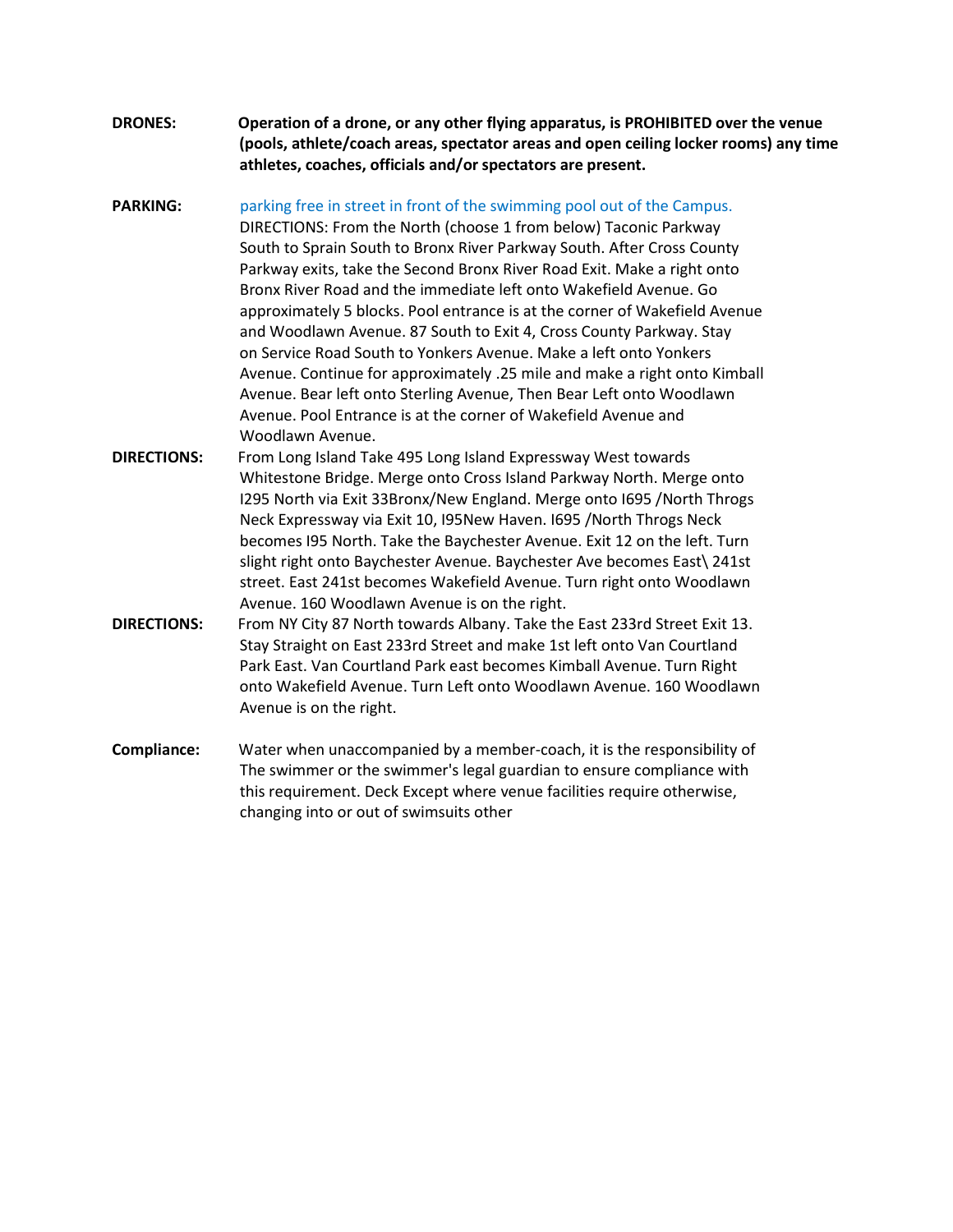- DRONES: Operation of a drone, or any other flying apparatus, is PROHIBITED over the venue (pools, athlete/coach areas, spectator areas and open ceiling locker rooms) any time athletes, coaches, officials and/or spectators are present.
- **PARKING:** parking free in street in front of the swimming pool out of the Campus. DIRECTIONS: From the North (choose 1 from below) Taconic Parkway South to Sprain South to Bronx River Parkway South. After Cross County Parkway exits, take the Second Bronx River Road Exit. Make a right onto Bronx River Road and the immediate left onto Wakefield Avenue. Go approximately 5 blocks. Pool entrance is at the corner of Wakefield Avenue and Woodlawn Avenue. 87 South to Exit 4, Cross County Parkway. Stay on Service Road South to Yonkers Avenue. Make a left onto Yonkers Avenue. Continue for approximately .25 mile and make a right onto Kimball Avenue. Bear left onto Sterling Avenue, Then Bear Left onto Woodlawn Avenue. Pool Entrance is at the corner of Wakefield Avenue and Woodlawn Avenue. DIRECTIONS: From Long Island Take 495 Long Island Expressway West towards
- Whitestone Bridge. Merge onto Cross Island Parkway North. Merge onto I295 North via Exit 33Bronx/New England. Merge onto I695 /North Throgs Neck Expressway via Exit 10, I95New Haven. I695 /North Throgs Neck becomes I95 North. Take the Baychester Avenue. Exit 12 on the left. Turn slight right onto Baychester Avenue. Baychester Ave becomes East\ 241st street. East 241st becomes Wakefield Avenue. Turn right onto Woodlawn Avenue. 160 Woodlawn Avenue is on the right.
- DIRECTIONS: From NY City 87 North towards Albany. Take the East 233rd Street Exit 13. Stay Straight on East 233rd Street and make 1st left onto Van Courtland Park East. Van Courtland Park east becomes Kimball Avenue. Turn Right onto Wakefield Avenue. Turn Left onto Woodlawn Avenue. 160 Woodlawn Avenue is on the right.
- Compliance: Water when unaccompanied by a member-coach, it is the responsibility of The swimmer or the swimmer's legal guardian to ensure compliance with this requirement. Deck Except where venue facilities require otherwise, changing into or out of swimsuits other